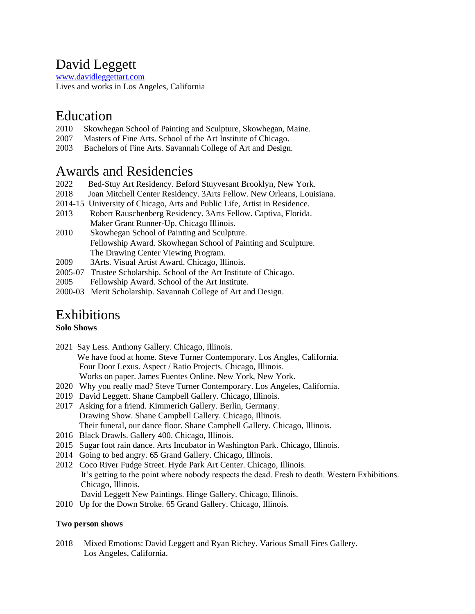## David Leggett

[www.davidleggettart.com](http://www.davidleggettart.com/) Lives and works in Los Angeles, California

### Education

- 2010 Skowhegan School of Painting and Sculpture, Skowhegan, Maine.
- 2007 Masters of Fine Arts. School of the Art Institute of Chicago.
- 2003 Bachelors of Fine Arts. Savannah College of Art and Design.

### Awards and Residencies

- 2022 Bed-Stuy Art Residency. Beford Stuyvesant Brooklyn, New York.
- 2018 Joan Mitchell Center Residency. 3Arts Fellow. New Orleans, Louisiana.
- 2014-15 University of Chicago, Arts and Public Life, Artist in Residence.
- 2013 Robert Rauschenberg Residency. 3Arts Fellow. Captiva, Florida. Maker Grant Runner-Up. Chicago Illinois.
- 2010 Skowhegan School of Painting and Sculpture. Fellowship Award. Skowhegan School of Painting and Sculpture. The Drawing Center Viewing Program.
- 2009 3Arts. Visual Artist Award. Chicago, Illinois.
- 2005-07 Trustee Scholarship. School of the Art Institute of Chicago.
- 2005 Fellowship Award. School of the Art Institute.
- 2000-03 Merit Scholarship. Savannah College of Art and Design.

### Exhibitions

#### **Solo Shows**

- 2021 Say Less. Anthony Gallery. Chicago, Illinois. We have food at home. Steve Turner Contemporary. Los Angles, California. Four Door Lexus. Aspect / Ratio Projects. Chicago, Illinois. Works on paper. James Fuentes Online. New York, New York.
- 2020 Why you really mad? Steve Turner Contemporary. Los Angeles, California.
- 2019 David Leggett. Shane Campbell Gallery. Chicago, Illinois.
- 2017 Asking for a friend. Kimmerich Gallery. Berlin, Germany. Drawing Show. Shane Campbell Gallery. Chicago, Illinois. Their funeral, our dance floor. Shane Campbell Gallery. Chicago, Illinois.
- 2016 Black Drawls. Gallery 400. Chicago, Illinois.
- 2015 Sugar foot rain dance. Arts Incubator in Washington Park. Chicago, Illinois.
- 2014 Going to bed angry. 65 Grand Gallery. Chicago, Illinois.
- 2012 Coco River Fudge Street. Hyde Park Art Center. Chicago, Illinois. It's getting to the point where nobody respects the dead. Fresh to death. Western Exhibitions. Chicago, Illinois.
	- David Leggett New Paintings. Hinge Gallery. Chicago, Illinois.
- 2010 Up for the Down Stroke. 65 Grand Gallery. Chicago, Illinois.

#### **Two person shows**

2018 Mixed Emotions: David Leggett and Ryan Richey. Various Small Fires Gallery. Los Angeles, California.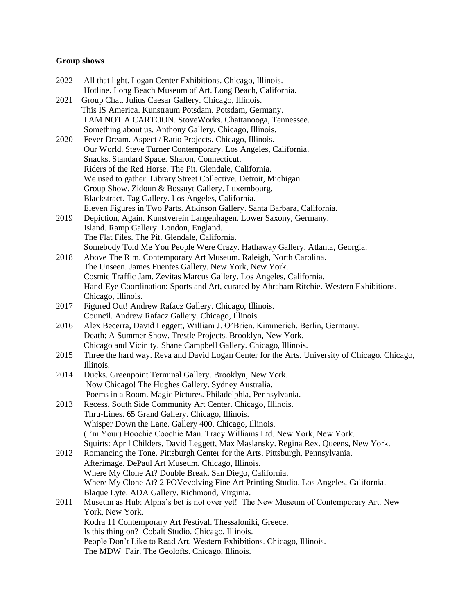### **Group shows**

| 2022 | All that light. Logan Center Exhibitions. Chicago, Illinois.                                                          |
|------|-----------------------------------------------------------------------------------------------------------------------|
|      | Hotline. Long Beach Museum of Art. Long Beach, California.                                                            |
| 2021 | Group Chat. Julius Caesar Gallery. Chicago, Illinois.                                                                 |
|      | This IS America. Kunstraum Potsdam. Potsdam, Germany.                                                                 |
|      | I AM NOT A CARTOON. StoveWorks. Chattanooga, Tennessee.                                                               |
|      | Something about us. Anthony Gallery. Chicago, Illinois.                                                               |
| 2020 | Fever Dream. Aspect / Ratio Projects. Chicago, Illinois.                                                              |
|      | Our World. Steve Turner Contemporary. Los Angeles, California.<br>Snacks. Standard Space. Sharon, Connecticut.        |
|      | Riders of the Red Horse. The Pit. Glendale, California.                                                               |
|      |                                                                                                                       |
|      | We used to gather. Library Street Collective. Detroit, Michigan.<br>Group Show. Zidoun & Bossuyt Gallery. Luxembourg. |
|      | Blackstract. Tag Gallery. Los Angeles, California.                                                                    |
|      |                                                                                                                       |
| 2019 | Eleven Figures in Two Parts. Atkinson Gallery. Santa Barbara, California.                                             |
|      | Depiction, Again. Kunstverein Langenhagen. Lower Saxony, Germany.<br>Island. Ramp Gallery. London, England.           |
|      | The Flat Files. The Pit. Glendale, California.                                                                        |
|      | Somebody Told Me You People Were Crazy. Hathaway Gallery. Atlanta, Georgia.                                           |
| 2018 | Above The Rim. Contemporary Art Museum. Raleigh, North Carolina.                                                      |
|      | The Unseen. James Fuentes Gallery. New York, New York.                                                                |
|      | Cosmic Traffic Jam. Zevitas Marcus Gallery. Los Angeles, California.                                                  |
|      | Hand-Eye Coordination: Sports and Art, curated by Abraham Ritchie. Western Exhibitions.                               |
|      | Chicago, Illinois.                                                                                                    |
| 2017 | Figured Out! Andrew Rafacz Gallery. Chicago, Illinois.                                                                |
|      | Council. Andrew Rafacz Gallery. Chicago, Illinois                                                                     |
| 2016 | Alex Becerra, David Leggett, William J. O'Brien. Kimmerich. Berlin, Germany.                                          |
|      | Death: A Summer Show. Trestle Projects. Brooklyn, New York.                                                           |
|      | Chicago and Vicinity. Shane Campbell Gallery. Chicago, Illinois.                                                      |
| 2015 | Three the hard way. Reva and David Logan Center for the Arts. University of Chicago. Chicago,                         |
|      | Illinois.                                                                                                             |
| 2014 | Ducks. Greenpoint Terminal Gallery. Brooklyn, New York.                                                               |
|      | Now Chicago! The Hughes Gallery. Sydney Australia.                                                                    |
|      | Poems in a Room. Magic Pictures. Philadelphia, Pennsylvania.                                                          |
| 2013 | Recess. South Side Community Art Center. Chicago, Illinois.                                                           |
|      | Thru-Lines. 65 Grand Gallery. Chicago, Illinois.                                                                      |
|      | Whisper Down the Lane. Gallery 400. Chicago, Illinois.                                                                |
|      | (I'm Your) Hoochie Coochie Man. Tracy Williams Ltd. New York, New York.                                               |
|      | Squirts: April Childers, David Leggett, Max Maslansky. Regina Rex. Queens, New York.                                  |
| 2012 | Romancing the Tone. Pittsburgh Center for the Arts. Pittsburgh, Pennsylvania.                                         |
|      | Afterimage. DePaul Art Museum. Chicago, Illinois.                                                                     |
|      | Where My Clone At? Double Break. San Diego, California.                                                               |
|      | Where My Clone At? 2 POVevolving Fine Art Printing Studio. Los Angeles, California.                                   |
|      | Blaque Lyte. ADA Gallery. Richmond, Virginia.                                                                         |
| 2011 | Museum as Hub: Alpha's bet is not over yet! The New Museum of Contemporary Art. New                                   |
|      | York, New York.                                                                                                       |
|      | Kodra 11 Contemporary Art Festival. Thessaloniki, Greece.                                                             |
|      | Is this thing on? Cobalt Studio. Chicago, Illinois.                                                                   |
|      | People Don't Like to Read Art. Western Exhibitions. Chicago, Illinois.                                                |
|      | The MDW Fair. The Geolofts. Chicago, Illinois.                                                                        |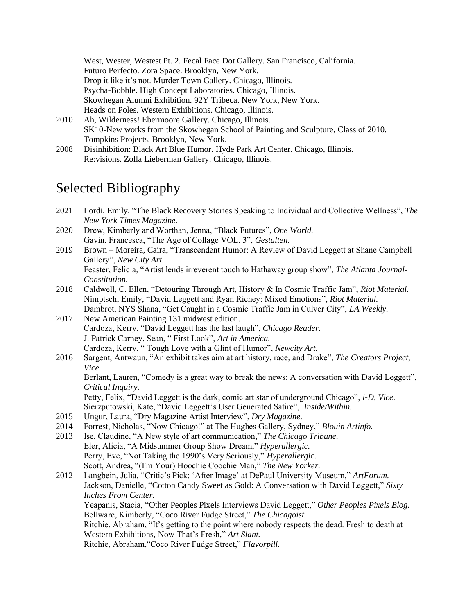West, Wester, Westest Pt. 2. Fecal Face Dot Gallery. San Francisco, California. Futuro Perfecto. Zora Space. Brooklyn, New York. Drop it like it's not. Murder Town Gallery. Chicago, Illinois. Psycha-Bobble. High Concept Laboratories. Chicago, Illinois. Skowhegan Alumni Exhibition. 92Y Tribeca. New York, New York. Heads on Poles. Western Exhibitions. Chicago, Illinois.

- 2010 Ah, Wilderness! Ebermoore Gallery. Chicago, Illinois. SK10-New works from the Skowhegan School of Painting and Sculpture, Class of 2010. Tompkins Projects. Brooklyn, New York.
- 2008 Disinhibition: Black Art Blue Humor. Hyde Park Art Center. Chicago, Illinois. Re:visions. Zolla Lieberman Gallery. Chicago, Illinois.

# Selected Bibliography

- 2021 Lordi, Emily, "The Black Recovery Stories Speaking to Individual and Collective Wellness", *The New York Times Magazine.*
- 2020 Drew, Kimberly and Worthan, Jenna, "Black Futures", *One World.* Gavin, Francesca, "The Age of Collage VOL. 3", *Gestalten.*
- 2019 Brown Moreira, Caira, "Transcendent Humor: A Review of David Leggett at Shane Campbell Gallery", *New City Art.*  Feaster, Felicia, "Artist lends irreverent touch to Hathaway group show", *The Atlanta Journal-Constitution.*
- 2018 Caldwell, C. Ellen, "Detouring Through Art, History & In Cosmic Traffic Jam", *Riot Material.* Nimptsch, Emily, "David Leggett and Ryan Richey: Mixed Emotions", *Riot Material.* Dambrot, NYS Shana, "Get Caught in a Cosmic Traffic Jam in Culver City", *LA Weekly.*
- 2017 New American Painting 131 midwest edition. Cardoza, Kerry, "David Leggett has the last laugh", *Chicago Reader.* J. Patrick Carney, Sean, " First Look", *Art in America.* Cardoza, Kerry, " Tough Love with a Glint of Humor", *Newcity Art.*
- 2016 Sargent, Antwaun, "An exhibit takes aim at art history, race, and Drake", *The Creators Project, Vice.*

Berlant, Lauren, "Comedy is a great way to break the news: A conversation with David Leggett", *Critical Inquiry.*

Petty, Felix, "David Leggett is the dark, comic art star of underground Chicago", *i-D, Vice.* Sierzputowski, Kate, "David Leggett's User Generated Satire", *Inside/Within.* 

- 2015 Ungur, Laura, "Dry Magazine Artist Interview", *Dry Magazine.*
- 2014 Forrest, Nicholas, "Now Chicago!" at The Hughes Gallery, Sydney," *Blouin Artinfo.*
- 2013 Ise, Claudine, "A New style of art communication," *The Chicago Tribune.* Eler, Alicia, "A Midsummer Group Show Dream," *Hyperallergic.* Perry, Eve, "Not Taking the 1990's Very Seriously," *Hyperallergic.* Scott, Andrea, "(I'm Your) Hoochie Coochie Man," *The New Yorker.*
- 2012 Langbein, Julia, "Critic's Pick: 'After Image' at DePaul University Museum," *ArtForum.* Jackson, Danielle, "Cotton Candy Sweet as Gold: A Conversation with David Leggett," *Sixty Inches From Center.*  Yeapanis, Stacia, "Other Peoples Pixels Interviews David Leggett," *Other Peoples Pixels Blog.*  Bellware, Kimberly, "Coco River Fudge Street," *The Chicagoist.* Ritchie, Abraham, "It's getting to the point where nobody respects the dead. Fresh to death at Western Exhibitions, Now That's Fresh," *Art Slant.* Ritchie, Abraham,"Coco River Fudge Street," *Flavorpill.*